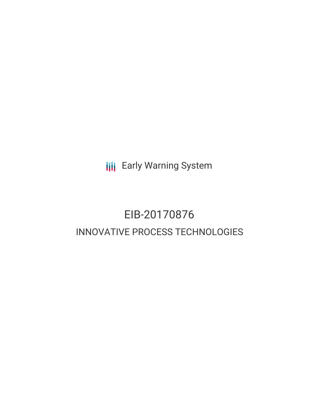**III** Early Warning System

# EIB-20170876 INNOVATIVE PROCESS TECHNOLOGIES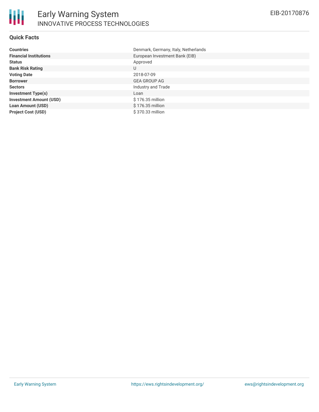# **Quick Facts**

| <b>Countries</b>               | Denmark, Germany, Italy, Netherlands |
|--------------------------------|--------------------------------------|
| <b>Financial Institutions</b>  | European Investment Bank (EIB)       |
| <b>Status</b>                  | Approved                             |
| <b>Bank Risk Rating</b>        | U                                    |
| <b>Voting Date</b>             | 2018-07-09                           |
| <b>Borrower</b>                | <b>GEA GROUP AG</b>                  |
| <b>Sectors</b>                 | Industry and Trade                   |
| <b>Investment Type(s)</b>      | Loan                                 |
| <b>Investment Amount (USD)</b> | \$176.35 million                     |
| <b>Loan Amount (USD)</b>       | \$176.35 million                     |
| <b>Project Cost (USD)</b>      | \$370.33 million                     |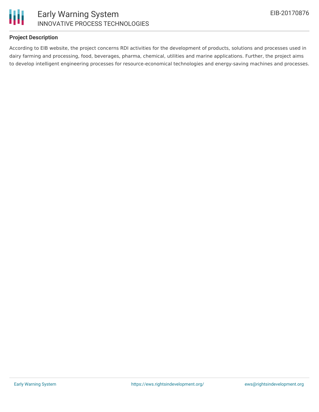

# **Project Description**

According to EIB website, the project concerns RDI activities for the development of products, solutions and processes used in dairy farming and processing, food, beverages, pharma, chemical, utilities and marine applications. Further, the project aims to develop intelligent engineering processes for resource-economical technologies and energy-saving machines and processes.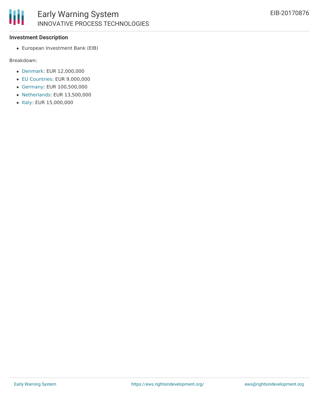#### **Investment Description**

European Investment Bank (EIB)

#### Breakdown:

- [Denmark](http://www.eib.org/en/projects/loan/list?region=1&country=DK): EUR 12,000,000
- EU [Countries](http://www.eib.org/en/projects/loan/list?region=1&country=C7): EUR 9,000,000
- [Germany](http://www.eib.org/en/projects/loan/list?region=1&country=DE): EUR 100,500,000
- [Netherlands](http://www.eib.org/en/projects/loan/list?region=1&country=NL): EUR 13,500,000
- [Italy:](http://www.eib.org/en/projects/loan/list?region=1&country=IT) EUR 15,000,000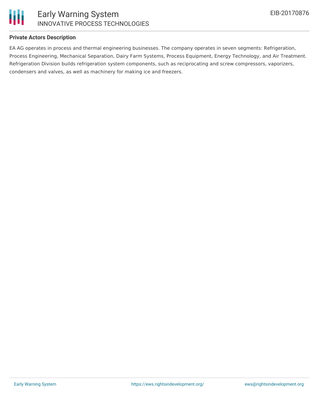

### **Private Actors Description**

EA AG operates in process and thermal engineering businesses. The company operates in seven segments: Refrigeration, Process Engineering, Mechanical Separation, Dairy Farm Systems, Process Equipment, Energy Technology, and Air Treatment. Refrigeration Division builds refrigeration system components, such as reciprocating and screw compressors, vaporizers, condensers and valves, as well as machinery for making ice and freezers.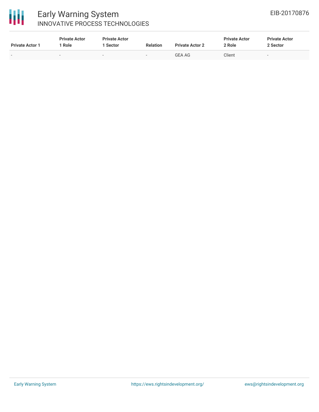

# Early Warning System INNOVATIVE PROCESS TECHNOLOGIES

| <b>Private Actor 1</b>   | <b>Private Actor</b><br>Role | <b>Private Actor</b><br>. Sector | <b>Relation</b> | <b>Private Actor 2</b> | <b>Private Actor</b><br>2 Role | <b>Private Actor</b><br>2 Sector |
|--------------------------|------------------------------|----------------------------------|-----------------|------------------------|--------------------------------|----------------------------------|
| $\overline{\phantom{0}}$ | $\sim$                       | -                                | $\sim$          | <b>GEA AG</b>          | Client                         |                                  |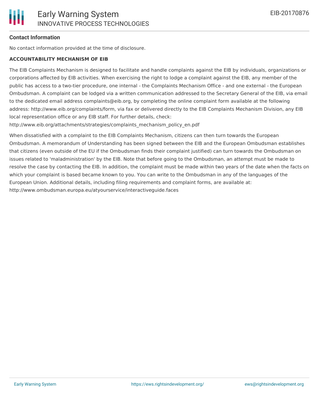# **Contact Information**

No contact information provided at the time of disclosure.

#### **ACCOUNTABILITY MECHANISM OF EIB**

The EIB Complaints Mechanism is designed to facilitate and handle complaints against the EIB by individuals, organizations or corporations affected by EIB activities. When exercising the right to lodge a complaint against the EIB, any member of the public has access to a two-tier procedure, one internal - the Complaints Mechanism Office - and one external - the European Ombudsman. A complaint can be lodged via a written communication addressed to the Secretary General of the EIB, via email to the dedicated email address complaints@eib.org, by completing the online complaint form available at the following address: http://www.eib.org/complaints/form, via fax or delivered directly to the EIB Complaints Mechanism Division, any EIB local representation office or any EIB staff. For further details, check:

http://www.eib.org/attachments/strategies/complaints\_mechanism\_policy\_en.pdf

When dissatisfied with a complaint to the EIB Complaints Mechanism, citizens can then turn towards the European Ombudsman. A memorandum of Understanding has been signed between the EIB and the European Ombudsman establishes that citizens (even outside of the EU if the Ombudsman finds their complaint justified) can turn towards the Ombudsman on issues related to 'maladministration' by the EIB. Note that before going to the Ombudsman, an attempt must be made to resolve the case by contacting the EIB. In addition, the complaint must be made within two years of the date when the facts on which your complaint is based became known to you. You can write to the Ombudsman in any of the languages of the European Union. Additional details, including filing requirements and complaint forms, are available at: http://www.ombudsman.europa.eu/atyourservice/interactiveguide.faces